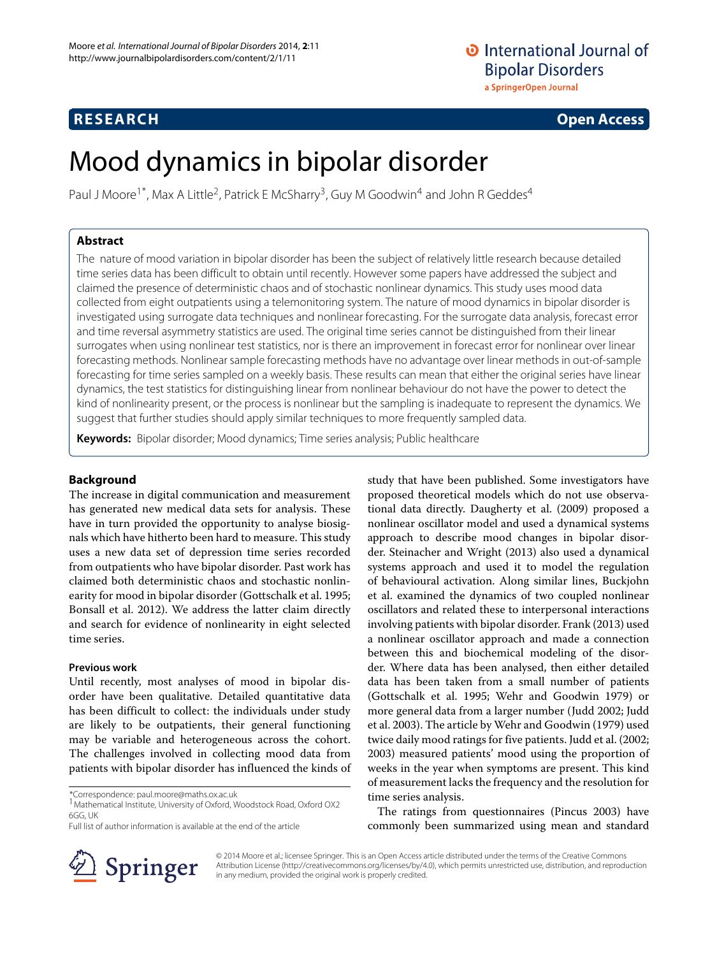# **O** International Journal of **Bipolar Disorders** a SpringerOpen Journal

# **RESEARCH Open Access**

# Mood dynamics in bipolar disorder

Paul J Moore<sup>1\*</sup>, Max A Little<sup>2</sup>, Patrick E McSharry<sup>3</sup>, Guy M Goodwin<sup>4</sup> and John R Geddes<sup>4</sup>

# **Abstract**

The nature of mood variation in bipolar disorder has been the subject of relatively little research because detailed time series data has been difficult to obtain until recently. However some papers have addressed the subject and claimed the presence of deterministic chaos and of stochastic nonlinear dynamics. This study uses mood data collected from eight outpatients using a telemonitoring system. The nature of mood dynamics in bipolar disorder is investigated using surrogate data techniques and nonlinear forecasting. For the surrogate data analysis, forecast error and time reversal asymmetry statistics are used. The original time series cannot be distinguished from their linear surrogates when using nonlinear test statistics, nor is there an improvement in forecast error for nonlinear over linear forecasting methods. Nonlinear sample forecasting methods have no advantage over linear methods in out-of-sample forecasting for time series sampled on a weekly basis. These results can mean that either the original series have linear dynamics, the test statistics for distinguishing linear from nonlinear behaviour do not have the power to detect the kind of nonlinearity present, or the process is nonlinear but the sampling is inadequate to represent the dynamics. We suggest that further studies should apply similar techniques to more frequently sampled data.

**Keywords:** Bipolar disorder; Mood dynamics; Time series analysis; Public healthcare

# **Background**

The increase in digital communication and measurement has generated new medical data sets for analysis. These have in turn provided the opportunity to analyse biosignals which have hitherto been hard to measure. This study uses a new data set of depression time series recorded from outpatients who have bipolar disorder. Past work has claimed both deterministic chaos and stochastic nonlinearity for mood in bipolar disorder (Gottschalk et al. [1995;](#page-7-0) Bonsall et al. [2012\)](#page-7-1). We address the latter claim directly and search for evidence of nonlinearity in eight selected time series.

# **Previous work**

Until recently, most analyses of mood in bipolar disorder have been qualitative. Detailed quantitative data has been difficult to collect: the individuals under study are likely to be outpatients, their general functioning may be variable and heterogeneous across the cohort. The challenges involved in collecting mood data from patients with bipolar disorder has influenced the kinds of

\*Correspondence: [paul.moore@maths.ox.ac.uk](mailto: paul.moore@maths.ox.ac.uk)

study that have been published. Some investigators have proposed theoretical models which do not use observational data directly. Daugherty et al. [\(2009\)](#page-7-2) proposed a nonlinear oscillator model and used a dynamical systems approach to describe mood changes in bipolar disorder. Steinacher and Wright [\(2013\)](#page-8-0) also used a dynamical systems approach and used it to model the regulation of behavioural activation. Along similar lines, Buckjohn et al. examined the dynamics of two coupled nonlinear oscillators and related these to interpersonal interactions involving patients with bipolar disorder. Frank [\(2013\)](#page-7-3) used a nonlinear oscillator approach and made a connection between this and biochemical modeling of the disorder. Where data has been analysed, then either detailed data has been taken from a small number of patients (Gottschalk et al. [1995;](#page-7-0) Wehr and Goodwin [1979\)](#page-8-1) or more general data from a larger number (Judd [2002;](#page-7-4) Judd et al. [2003\)](#page-7-5). The article by Wehr and Goodwin [\(1979\)](#page-8-1) used twice daily mood ratings for five patients. Judd et al. [\(2002;](#page-7-4) [2003\)](#page-7-5) measured patients' mood using the proportion of weeks in the year when symptoms are present. This kind of measurement lacks the frequency and the resolution for time series analysis.

The ratings from questionnaires (Pincus [2003\)](#page-8-2) have commonly been summarized using mean and standard



© 2014 Moore et al.; licensee Springer. This is an Open Access article distributed under the terms of the Creative Commons Attribution License [\(http://creativecommons.org/licenses/by/4.0\)](http://creativecommons.org/licenses/by/4.0), which permits unrestricted use, distribution, and reproduction in any medium, provided the original work is properly credited.

<sup>1</sup>Mathematical Institute, University of Oxford, Woodstock Road, Oxford OX2 6GG, UK

Full list of author information is available at the end of the article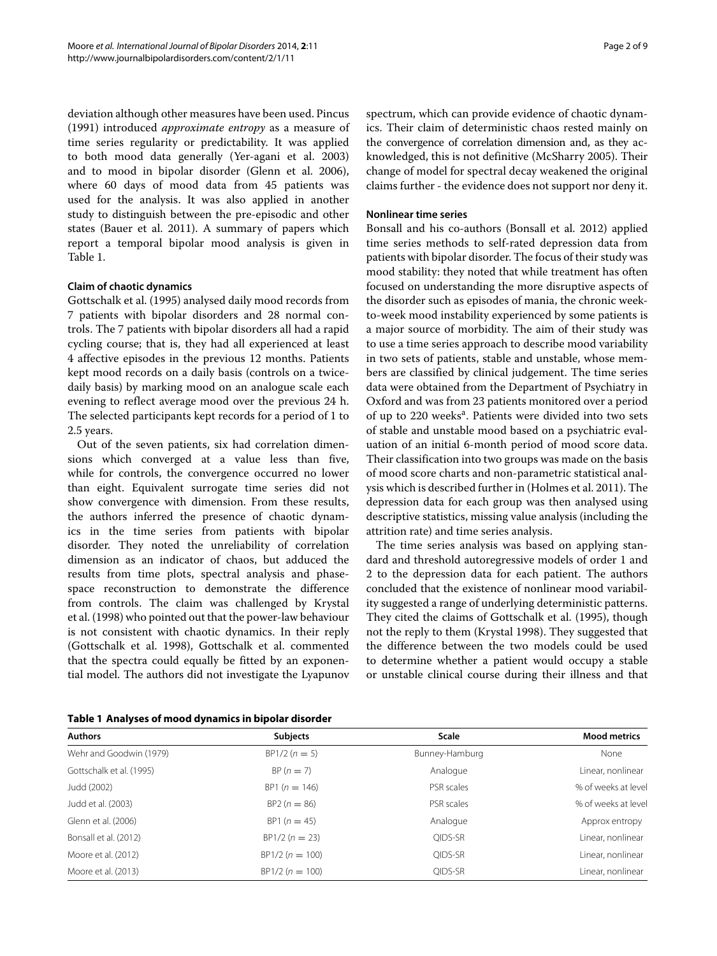deviation although other measures have been used. Pincus [\(1991\)](#page-8-3) introduced *approximate entropy* as a measure of time series regularity or predictability. It was applied to both mood data generally (Yer-agani et al. [2003\)](#page-8-4) and to mood in bipolar disorder (Glenn et al. [2006\)](#page-7-6), where 60 days of mood data from 45 patients was used for the analysis. It was also applied in another study to distinguish between the pre-episodic and other states (Bauer et al. [2011\)](#page-7-7). A summary of papers which report a temporal bipolar mood analysis is given in Table [1.](#page-1-0)

# **Claim of chaotic dynamics**

Gottschalk et al. [\(1995\)](#page-7-0) analysed daily mood records from 7 patients with bipolar disorders and 28 normal controls. The 7 patients with bipolar disorders all had a rapid cycling course; that is, they had all experienced at least 4 affective episodes in the previous 12 months. Patients kept mood records on a daily basis (controls on a twicedaily basis) by marking mood on an analogue scale each evening to reflect average mood over the previous 24 h. The selected participants kept records for a period of 1 to 2.5 years.

Out of the seven patients, six had correlation dimensions which converged at a value less than five, while for controls, the convergence occurred no lower than eight. Equivalent surrogate time series did not show convergence with dimension. From these results, the authors inferred the presence of chaotic dynamics in the time series from patients with bipolar disorder. They noted the unreliability of correlation dimension as an indicator of chaos, but adduced the results from time plots, spectral analysis and phasespace reconstruction to demonstrate the difference from controls. The claim was challenged by Krystal et al. [\(1998\)](#page-7-8) who pointed out that the power-law behaviour is not consistent with chaotic dynamics. In their reply (Gottschalk et al. [1998\)](#page-7-9), Gottschalk et al. commented that the spectra could equally be fitted by an exponential model. The authors did not investigate the Lyapunov

| Page 2 of 9 |  |  |  |
|-------------|--|--|--|
|-------------|--|--|--|

spectrum, which can provide evidence of chaotic dynamics. Their claim of deterministic chaos rested mainly on the convergence of correlation dimension and, as they acknowledged, this is not definitive (McSharry [2005\)](#page-7-10). Their change of model for spectral decay weakened the original claims further - the evidence does not support nor deny it.

#### **Nonlinear time series**

Bonsall and his co-authors (Bonsall et al. [2012\)](#page-7-1) applied time series methods to self-rated depression data from patients with bipolar disorder. The focus of their study was mood stability: they noted that while treatment has often focused on understanding the more disruptive aspects of the disorder such as episodes of mania, the chronic weekto-week mood instability experienced by some patients is a major source of morbidity. The aim of their study was to use a time series approach to describe mood variability in two sets of patients, stable and unstable, whose members are classified by clinical judgement. The time series data were obtained from the Department of Psychiatry in Oxford and was from 23 patients monitored over a period of up to 220 weeks<sup>a</sup>. Patients were divided into two sets of stable and unstable mood based on a psychiatric evaluation of an initial 6-month period of mood score data. Their classification into two groups was made on the basis of mood score charts and non-parametric statistical analysis which is described further in (Holmes et al. [2011\)](#page-7-11). The depression data for each group was then analysed using descriptive statistics, missing value analysis (including the attrition rate) and time series analysis.

The time series analysis was based on applying standard and threshold autoregressive models of order 1 and 2 to the depression data for each patient. The authors concluded that the existence of nonlinear mood variability suggested a range of underlying deterministic patterns. They cited the claims of Gottschalk et al. [\(1995\)](#page-7-0), though not the reply to them (Krystal [1998\)](#page-7-8). They suggested that the difference between the two models could be used to determine whether a patient would occupy a stable or unstable clinical course during their illness and that

<span id="page-1-0"></span>

| <b>Authors</b>           | <b>Subjects</b>   | Scale          | <b>Mood metrics</b> |  |
|--------------------------|-------------------|----------------|---------------------|--|
| Wehr and Goodwin (1979)  | $BP1/2 (n = 5)$   | Bunney-Hamburg | None                |  |
| Gottschalk et al. (1995) | $BP (n = 7)$      | Analogue       | Linear, nonlinear   |  |
| Judd (2002)              | $BP1 (n = 146)$   | PSR scales     | % of weeks at level |  |
| Judd et al. (2003)       | $BP2 (n = 86)$    | PSR scales     | % of weeks at level |  |
| Glenn et al. (2006)      | $BP1 (n = 45)$    | Analogue       | Approx entropy      |  |
| Bonsall et al. (2012)    | $BP1/2 (n = 23)$  | OIDS-SR        | Linear, nonlinear   |  |
| Moore et al. (2012)      | $BP1/2 (n = 100)$ | OIDS-SR        | Linear, nonlinear   |  |
| Moore et al. (2013)      | $BP1/2 (n = 100)$ | QIDS-SR        | Linear, nonlinear   |  |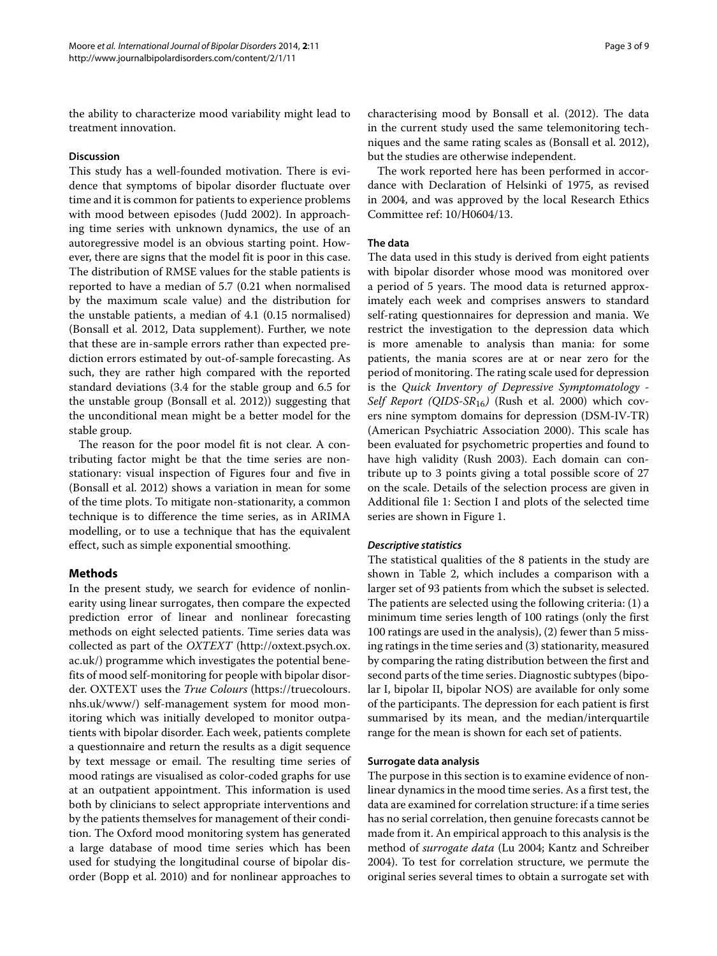the ability to characterize mood variability might lead to treatment innovation.

### **Discussion**

This study has a well-founded motivation. There is evidence that symptoms of bipolar disorder fluctuate over time and it is common for patients to experience problems with mood between episodes (Judd [2002\)](#page-7-4). In approaching time series with unknown dynamics, the use of an autoregressive model is an obvious starting point. However, there are signs that the model fit is poor in this case. The distribution of RMSE values for the stable patients is reported to have a median of 5.7 (0.21 when normalised by the maximum scale value) and the distribution for the unstable patients, a median of 4.1 (0.15 normalised) (Bonsall et al. [2012,](#page-7-1) Data supplement). Further, we note that these are in-sample errors rather than expected prediction errors estimated by out-of-sample forecasting. As such, they are rather high compared with the reported standard deviations (3.4 for the stable group and 6.5 for the unstable group (Bonsall et al. [2012\)](#page-7-1)) suggesting that the unconditional mean might be a better model for the stable group.

The reason for the poor model fit is not clear. A contributing factor might be that the time series are nonstationary: visual inspection of Figures four and five in (Bonsall et al. [2012\)](#page-7-1) shows a variation in mean for some of the time plots. To mitigate non-stationarity, a common technique is to difference the time series, as in ARIMA modelling, or to use a technique that has the equivalent effect, such as simple exponential smoothing.

# **Methods**

In the present study, we search for evidence of nonlinearity using linear surrogates, then compare the expected prediction error of linear and nonlinear forecasting methods on eight selected patients. Time series data was collected as part of the *OXTEXT* [\(http://oxtext.psych.ox.](http://oxtext.psych.ox.ac.uk/) [ac.uk/\)](http://oxtext.psych.ox.ac.uk/) programme which investigates the potential benefits of mood self-monitoring for people with bipolar disorder. OXTEXT uses the *True Colours* [\(https://truecolours.](https://truecolours.nhs.uk/www/) [nhs.uk/www/\)](https://truecolours.nhs.uk/www/) self-management system for mood monitoring which was initially developed to monitor outpatients with bipolar disorder. Each week, patients complete a questionnaire and return the results as a digit sequence by text message or email. The resulting time series of mood ratings are visualised as color-coded graphs for use at an outpatient appointment. This information is used both by clinicians to select appropriate interventions and by the patients themselves for management of their condition. The Oxford mood monitoring system has generated a large database of mood time series which has been used for studying the longitudinal course of bipolar disorder (Bopp et al. [2010\)](#page-7-13) and for nonlinear approaches to

characterising mood by Bonsall et al. [\(2012\)](#page-7-1). The data in the current study used the same telemonitoring techniques and the same rating scales as (Bonsall et al. [2012\)](#page-7-1), but the studies are otherwise independent.

The work reported here has been performed in accordance with Declaration of Helsinki of 1975, as revised in 2004, and was approved by the local Research Ethics Committee ref: 10/H0604/13.

# **The data**

The data used in this study is derived from eight patients with bipolar disorder whose mood was monitored over a period of 5 years. The mood data is returned approximately each week and comprises answers to standard self-rating questionnaires for depression and mania. We restrict the investigation to the depression data which is more amenable to analysis than mania: for some patients, the mania scores are at or near zero for the period of monitoring. The rating scale used for depression is the *Quick Inventory of Depressive Symptomatology - Self Report (QIDS-SR*16*)* (Rush et al. [2000\)](#page-8-6) which covers nine symptom domains for depression (DSM-IV-TR) (American Psychiatric Association [2000\)](#page-7-14). This scale has been evaluated for psychometric properties and found to have high validity (Rush [2003\)](#page-8-7). Each domain can contribute up to 3 points giving a total possible score of 27 on the scale. Details of the selection process are given in Additional file [1:](#page-7-15) Section I and plots of the selected time series are shown in Figure [1.](#page-3-0)

# *Descriptive statistics*

The statistical qualities of the 8 patients in the study are shown in Table [2,](#page-3-1) which includes a comparison with a larger set of 93 patients from which the subset is selected. The patients are selected using the following criteria: (1) a minimum time series length of 100 ratings (only the first 100 ratings are used in the analysis), (2) fewer than 5 missing ratings in the time series and (3) stationarity, measured by comparing the rating distribution between the first and second parts of the time series. Diagnostic subtypes (bipolar I, bipolar II, bipolar NOS) are available for only some of the participants. The depression for each patient is first summarised by its mean, and the median/interquartile range for the mean is shown for each set of patients.

#### **Surrogate data analysis**

The purpose in this section is to examine evidence of nonlinear dynamics in the mood time series. As a first test, the data are examined for correlation structure: if a time series has no serial correlation, then genuine forecasts cannot be made from it. An empirical approach to this analysis is the method of *surrogate data* (Lu [2004;](#page-7-16) Kantz and Schreiber [2004\)](#page-7-17). To test for correlation structure, we permute the original series several times to obtain a surrogate set with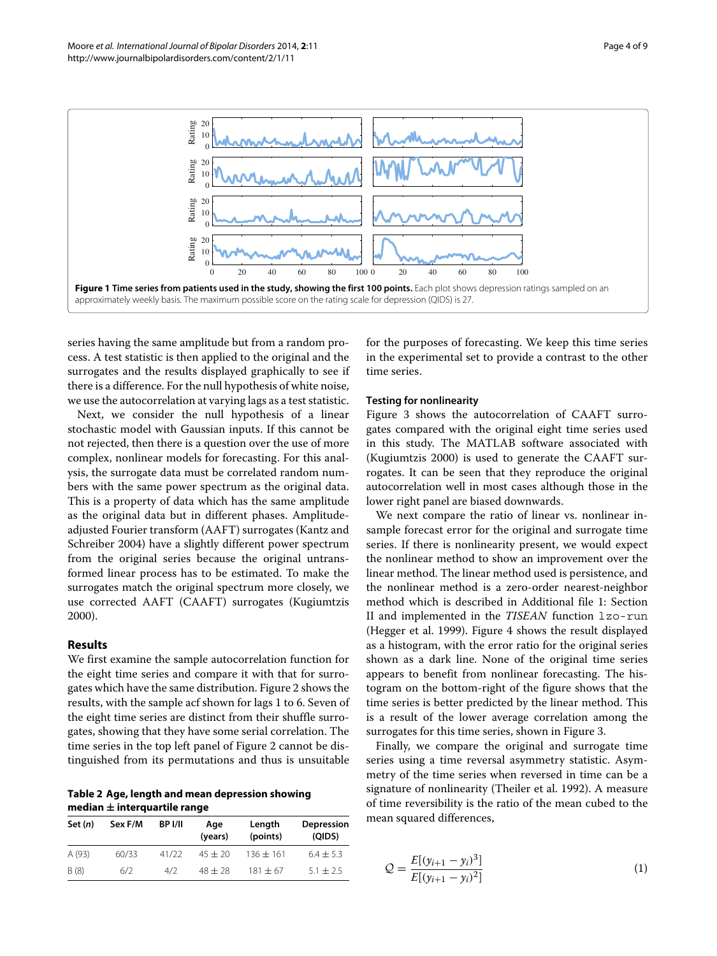

<span id="page-3-0"></span>series having the same amplitude but from a random process. A test statistic is then applied to the original and the surrogates and the results displayed graphically to see if there is a difference. For the null hypothesis of white noise, we use the autocorrelation at varying lags as a test statistic.

Next, we consider the null hypothesis of a linear stochastic model with Gaussian inputs. If this cannot be not rejected, then there is a question over the use of more complex, nonlinear models for forecasting. For this analysis, the surrogate data must be correlated random numbers with the same power spectrum as the original data. This is a property of data which has the same amplitude as the original data but in different phases. Amplitudeadjusted Fourier transform (AAFT) surrogates (Kantz and Schreiber [2004\)](#page-7-17) have a slightly different power spectrum from the original series because the original untransformed linear process has to be estimated. To make the surrogates match the original spectrum more closely, we use corrected AAFT (CAAFT) surrogates (Kugiumtzis [2000\)](#page-7-18).

# **Results**

We first examine the sample autocorrelation function for the eight time series and compare it with that for surrogates which have the same distribution. Figure [2](#page-4-0) shows the results, with the sample acf shown for lags 1 to 6. Seven of the eight time series are distinct from their shuffle surrogates, showing that they have some serial correlation. The time series in the top left panel of Figure [2](#page-4-0) cannot be distinguished from its permutations and thus is unsuitable

<span id="page-3-1"></span>**Table 2 Age, length and mean depression showing median ± interquartile range**

| Set $(n)$ | Sex F/M | BP I/II | Age<br>(years) | Length<br>(points) | <b>Depression</b><br>(OIDS) |
|-----------|---------|---------|----------------|--------------------|-----------------------------|
| A (93)    | 60/33   | 41/22   | $45 + 20$      | $136 + 161$        | $6.4 + 5.3$                 |
| B(8)      | 6/2     | 4/2     | $48 + 28$      | $181 + 67$         | $5.1 + 2.5$                 |

for the purposes of forecasting. We keep this time series in the experimental set to provide a contrast to the other time series.

#### **Testing for nonlinearity**

Figure [3](#page-4-1) shows the autocorrelation of CAAFT surrogates compared with the original eight time series used in this study. The MATLAB software associated with (Kugiumtzis [2000\)](#page-7-18) is used to generate the CAAFT surrogates. It can be seen that they reproduce the original autocorrelation well in most cases although those in the lower right panel are biased downwards.

We next compare the ratio of linear vs. nonlinear insample forecast error for the original and surrogate time series. If there is nonlinearity present, we would expect the nonlinear method to show an improvement over the linear method. The linear method used is persistence, and the nonlinear method is a zero-order nearest-neighbor method which is described in Additional file [1:](#page-7-15) Section II and implemented in the *TISEAN* function lzo-run (Hegger et al. [1999\)](#page-7-19). Figure [4](#page-5-0) shows the result displayed as a histogram, with the error ratio for the original series shown as a dark line. None of the original time series appears to benefit from nonlinear forecasting. The histogram on the bottom-right of the figure shows that the time series is better predicted by the linear method. This is a result of the lower average correlation among the surrogates for this time series, shown in Figure [3.](#page-4-1)

Finally, we compare the original and surrogate time series using a time reversal asymmetry statistic. Asymmetry of the time series when reversed in time can be a signature of nonlinearity (Theiler et al. [1992\)](#page-8-8). A measure of time reversibility is the ratio of the mean cubed to the mean squared differences,

$$
Q = \frac{E[(y_{i+1} - y_i)^3]}{E[(y_{i+1} - y_i)^2]}
$$
 (1)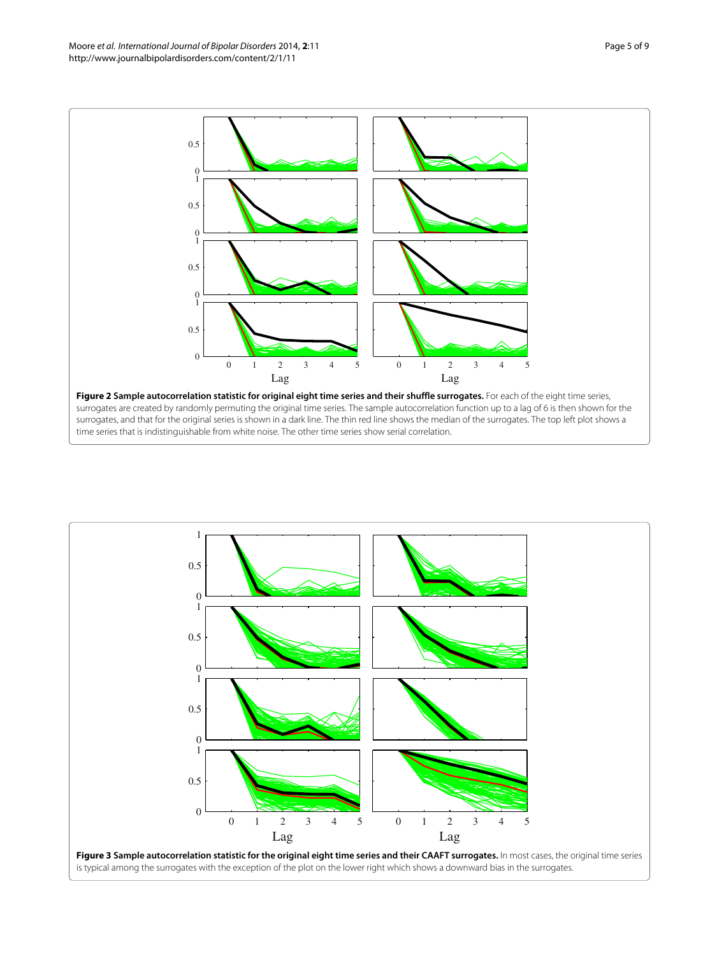

<span id="page-4-1"></span><span id="page-4-0"></span>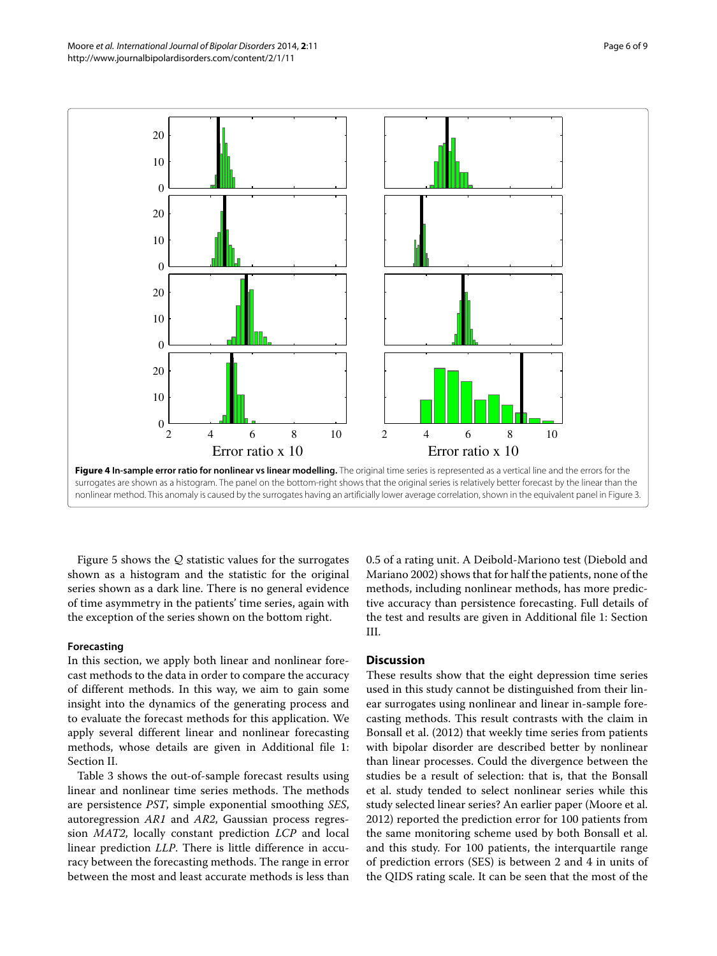

<span id="page-5-0"></span>Figure [5](#page-6-0) shows the  $Q$  statistic values for the surrogates shown as a histogram and the statistic for the original series shown as a dark line. There is no general evidence of time asymmetry in the patients' time series, again with the exception of the series shown on the bottom right.

#### **Forecasting**

In this section, we apply both linear and nonlinear forecast methods to the data in order to compare the accuracy of different methods. In this way, we aim to gain some insight into the dynamics of the generating process and to evaluate the forecast methods for this application. We apply several different linear and nonlinear forecasting methods, whose details are given in Additional file [1:](#page-7-15) Section II.

Table [3](#page-6-1) shows the out-of-sample forecast results using linear and nonlinear time series methods. The methods are persistence *PST*, simple exponential smoothing *SES*, autoregression *AR1* and *AR2*, Gaussian process regression *MAT2*, locally constant prediction *LCP* and local linear prediction *LLP*. There is little difference in accuracy between the forecasting methods. The range in error between the most and least accurate methods is less than 0.5 of a rating unit. A Deibold-Mariono test (Diebold and Mariano [2002\)](#page-7-20) shows that for half the patients, none of the methods, including nonlinear methods, has more predictive accuracy than persistence forecasting. Full details of the test and results are given in Additional file [1:](#page-7-15) Section III.

# **Discussion**

These results show that the eight depression time series used in this study cannot be distinguished from their linear surrogates using nonlinear and linear in-sample forecasting methods. This result contrasts with the claim in Bonsall et al. [\(2012\)](#page-7-1) that weekly time series from patients with bipolar disorder are described better by nonlinear than linear processes. Could the divergence between the studies be a result of selection: that is, that the Bonsall et al. study tended to select nonlinear series while this study selected linear series? An earlier paper (Moore et al. [2012\)](#page-7-12) reported the prediction error for 100 patients from the same monitoring scheme used by both Bonsall et al. and this study. For 100 patients, the interquartile range of prediction errors (SES) is between 2 and 4 in units of the QIDS rating scale. It can be seen that the most of the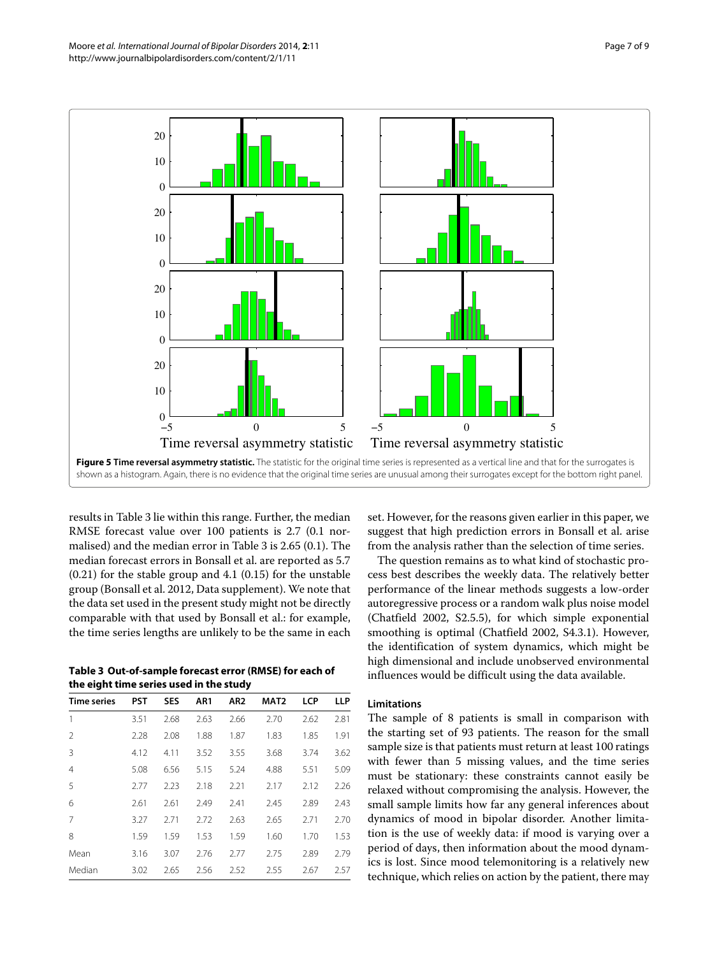

<span id="page-6-0"></span>results in Table [3](#page-6-1) lie within this range. Further, the median RMSE forecast value over 100 patients is 2.7 (0.1 normalised) and the median error in Table [3](#page-6-1) is 2.65 (0.1). The median forecast errors in Bonsall et al. are reported as 5.7 (0.21) for the stable group and 4.1 (0.15) for the unstable group (Bonsall et al. [2012,](#page-7-1) Data supplement). We note that the data set used in the present study might not be directly comparable with that used by Bonsall et al.: for example, the time series lengths are unlikely to be the same in each

<span id="page-6-1"></span>**Table 3 Out-of-sample forecast error (RMSE) for each of the eight time series used in the study**

| Time series | <b>PST</b> | <b>SES</b> | AR1  | AR <sub>2</sub> | MAT <sub>2</sub> | <b>LCP</b> | <b>LLP</b> |
|-------------|------------|------------|------|-----------------|------------------|------------|------------|
| 1           | 3.51       | 2.68       | 2.63 | 2.66            | 2.70             | 2.62       | 2.81       |
| 2           | 2.28       | 2.08       | 1.88 | 1.87            | 1.83             | 1.85       | 1.91       |
| 3           | 4.12       | 4.11       | 3.52 | 3.55            | 3.68             | 3.74       | 3.62       |
| 4           | 5.08       | 6.56       | 5.15 | 5.24            | 4.88             | 5.51       | 5.09       |
| 5           | 2.77       | 2.23       | 2.18 | 2.21            | 2.17             | 2.12       | 2.26       |
| 6           | 2.61       | 2.61       | 2.49 | 2.41            | 2.45             | 2.89       | 2.43       |
| 7           | 3.27       | 2.71       | 2.72 | 2.63            | 2.65             | 2.71       | 2.70       |
| 8           | 1.59       | 1.59       | 1.53 | 1.59            | 1.60             | 1.70       | 1.53       |
| Mean        | 3.16       | 3.07       | 2.76 | 2.77            | 2.75             | 2.89       | 2.79       |
| Median      | 3.02       | 2.65       | 2.56 | 2.52            | 2.55             | 2.67       | 2.57       |

set. However, for the reasons given earlier in this paper, we suggest that high prediction errors in Bonsall et al. arise from the analysis rather than the selection of time series.

The question remains as to what kind of stochastic process best describes the weekly data. The relatively better performance of the linear methods suggests a low-order autoregressive process or a random walk plus noise model (Chatfield [2002,](#page-7-21) S2.5.5), for which simple exponential smoothing is optimal (Chatfield [2002,](#page-7-21) S4.3.1). However, the identification of system dynamics, which might be high dimensional and include unobserved environmental influences would be difficult using the data available.

# **Limitations**

The sample of 8 patients is small in comparison with the starting set of 93 patients. The reason for the small sample size is that patients must return at least 100 ratings with fewer than 5 missing values, and the time series must be stationary: these constraints cannot easily be relaxed without compromising the analysis. However, the small sample limits how far any general inferences about dynamics of mood in bipolar disorder. Another limitation is the use of weekly data: if mood is varying over a period of days, then information about the mood dynamics is lost. Since mood telemonitoring is a relatively new technique, which relies on action by the patient, there may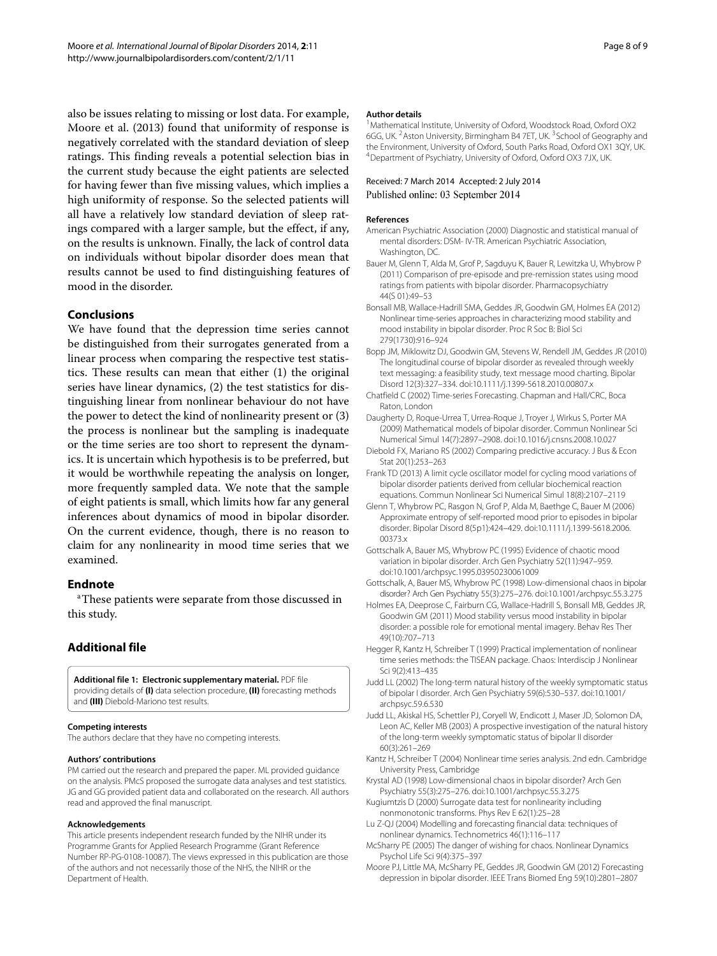also be issues relating to missing or lost data. For example, Moore et al. [\(2013\)](#page-8-5) found that uniformity of response is negatively correlated with the standard deviation of sleep ratings. This finding reveals a potential selection bias in the current study because the eight patients are selected for having fewer than five missing values, which implies a high uniformity of response. So the selected patients will all have a relatively low standard deviation of sleep ratings compared with a larger sample, but the effect, if any, on the results is unknown. Finally, the lack of control data on individuals without bipolar disorder does mean that results cannot be used to find distinguishing features of mood in the disorder.

# **Conclusions**

We have found that the depression time series cannot be distinguished from their surrogates generated from a linear process when comparing the respective test statistics. These results can mean that either (1) the original series have linear dynamics, (2) the test statistics for distinguishing linear from nonlinear behaviour do not have the power to detect the kind of nonlinearity present or (3) the process is nonlinear but the sampling is inadequate or the time series are too short to represent the dynamics. It is uncertain which hypothesis is to be preferred, but it would be worthwhile repeating the analysis on longer, more frequently sampled data. We note that the sample of eight patients is small, which limits how far any general inferences about dynamics of mood in bipolar disorder. On the current evidence, though, there is no reason to claim for any nonlinearity in mood time series that we examined.

#### **Endnote**

aThese patients were separate from those discussed in this study.

# **Additional file**

<span id="page-7-15"></span>**[Additional file 1:](http://www.journalbipolardisorders.com/content/supplementary/s40345-014-0011-z-S1.pdf) Electronic supplementary material.** PDF file providing details of **(I)** data selection procedure, **(II)** forecasting methods and **(III)** Diebold-Mariono test results.

#### **Competing interests**

The authors declare that they have no competing interests.

#### **Authors' contributions**

PM carried out the research and prepared the paper. ML provided guidance on the analysis. PMcS proposed the surrogate data analyses and test statistics. JG and GG provided patient data and collaborated on the research. All authors read and approved the final manuscript.

#### **Acknowledgements**

This article presents independent research funded by the NIHR under its Programme Grants for Applied Research Programme (Grant Reference Number RP-PG-0108-10087). The views expressed in this publication are those of the authors and not necessarily those of the NHS, the NIHR or the Department of Health.

#### **Author details**

<sup>1</sup> Mathematical Institute, University of Oxford, Woodstock Road, Oxford OX2 6GG, UK. <sup>2</sup> Aston University, Birmingham B4 7ET, UK. <sup>3</sup> School of Geography and the Environment, University of Oxford, South Parks Road, Oxford OX1 3QY, UK. 4Department of Psychiatry, University of Oxford, Oxford OX3 7JX, UK.

#### Received: 7 March 2014 Accepted: 2 July 2014 Published online: 03 September 2014

#### **References**

- <span id="page-7-14"></span>American Psychiatric Association (2000) Diagnostic and statistical manual of mental disorders: DSM- IV-TR. American Psychiatric Association, Washington, DC.
- <span id="page-7-7"></span>Bauer M, Glenn T, Alda M, Grof P, Sagduyu K, Bauer R, Lewitzka U, Whybrow P (2011) Comparison of pre-episode and pre-remission states using mood ratings from patients with bipolar disorder. Pharmacopsychiatry 44(S 01):49–53
- <span id="page-7-1"></span>Bonsall MB, Wallace-Hadrill SMA, Geddes JR, Goodwin GM, Holmes EA (2012) Nonlinear time-series approaches in characterizing mood stability and mood instability in bipolar disorder. Proc R Soc B: Biol Sci 279(1730):916–924
- <span id="page-7-13"></span>Bopp JM, Miklowitz DJ, Goodwin GM, Stevens W, Rendell JM, Geddes JR (2010) The longitudinal course of bipolar disorder as revealed through weekly text messaging: a feasibility study, text message mood charting. Bipolar Disord 12(3):327–334. doi:10.1111/j.1399-5618.2010.00807.x
- <span id="page-7-21"></span>Chatfield C (2002) Time-series Forecasting. Chapman and Hall/CRC, Boca Raton, London
- <span id="page-7-2"></span>Daugherty D, Roque-Urrea T, Urrea-Roque J, Troyer J, Wirkus S, Porter MA (2009) Mathematical models of bipolar disorder. Commun Nonlinear Sci Numerical Simul 14(7):2897–2908. doi:10.1016/j.cnsns.2008.10.027
- <span id="page-7-20"></span>Diebold FX, Mariano RS (2002) Comparing predictive accuracy. J Bus & Econ Stat 20(1):253–263
- <span id="page-7-3"></span>Frank TD (2013) A limit cycle oscillator model for cycling mood variations of bipolar disorder patients derived from cellular biochemical reaction equations. Commun Nonlinear Sci Numerical Simul 18(8):2107–2119
- <span id="page-7-6"></span>Glenn T, Whybrow PC, Rasgon N, Grof P, Alda M, Baethge C, Bauer M (2006) Approximate entropy of self-reported mood prior to episodes in bipolar disorder. Bipolar Disord 8(5p1):424–429. doi:10.1111/j.1399-5618.2006. 00373.x
- <span id="page-7-0"></span>Gottschalk A, Bauer MS, Whybrow PC (1995) Evidence of chaotic mood variation in bipolar disorder. Arch Gen Psychiatry 52(11):947–959. doi:10.1001/archpsyc.1995.03950230061009
- <span id="page-7-9"></span>Gottschalk, A, Bauer MS, Whybrow PC (1998) Low-dimensional chaos in bipolar disorder? Arch Gen Psychiatry 55(3):275–276. doi:10.1001/archpsyc.55.3.275
- <span id="page-7-11"></span>Holmes EA, Deeprose C, Fairburn CG, Wallace-Hadrill S, Bonsall MB, Geddes JR, Goodwin GM (2011) Mood stability versus mood instability in bipolar disorder: a possible role for emotional mental imagery. Behav Res Ther 49(10):707–713
- <span id="page-7-19"></span>Hegger R, Kantz H, Schreiber T (1999) Practical implementation of nonlinear time series methods: the TISEAN package. Chaos: Interdiscip J Nonlinear Sci 9(2):413–435
- <span id="page-7-4"></span>Judd LL (2002) The long-term natural history of the weekly symptomatic status of bipolar I disorder. Arch Gen Psychiatry 59(6):530–537. doi:10.1001/ archpsyc.59.6.530
- <span id="page-7-5"></span>Judd LL, Akiskal HS, Schettler PJ, Coryell W, Endicott J, Maser JD, Solomon DA, Leon AC, Keller MB (2003) A prospective investigation of the natural history of the long-term weekly symptomatic status of bipolar II disorder 60(3):261–269
- <span id="page-7-17"></span>Kantz H, Schreiber T (2004) Nonlinear time series analysis. 2nd edn. Cambridge University Press, Cambridge
- <span id="page-7-8"></span>Krystal AD (1998) Low-dimensional chaos in bipolar disorder? Arch Gen Psychiatry 55(3):275–276. doi:10.1001/archpsyc.55.3.275
- <span id="page-7-18"></span>Kugiumtzis D (2000) Surrogate data test for nonlinearity including nonmonotonic transforms. Phys Rev E 62(1):25–28
- <span id="page-7-16"></span>Lu Z-QJ (2004) Modelling and forecasting financial data: techniques of nonlinear dynamics. Technometrics 46(1):116–117
- <span id="page-7-10"></span>McSharry PE (2005) The danger of wishing for chaos. Nonlinear Dynamics Psychol Life Sci 9(4):375–397
- <span id="page-7-12"></span>Moore PJ, Little MA, McSharry PE, Geddes JR, Goodwin GM (2012) Forecasting depression in bipolar disorder. IEEE Trans Biomed Eng 59(10):2801–2807